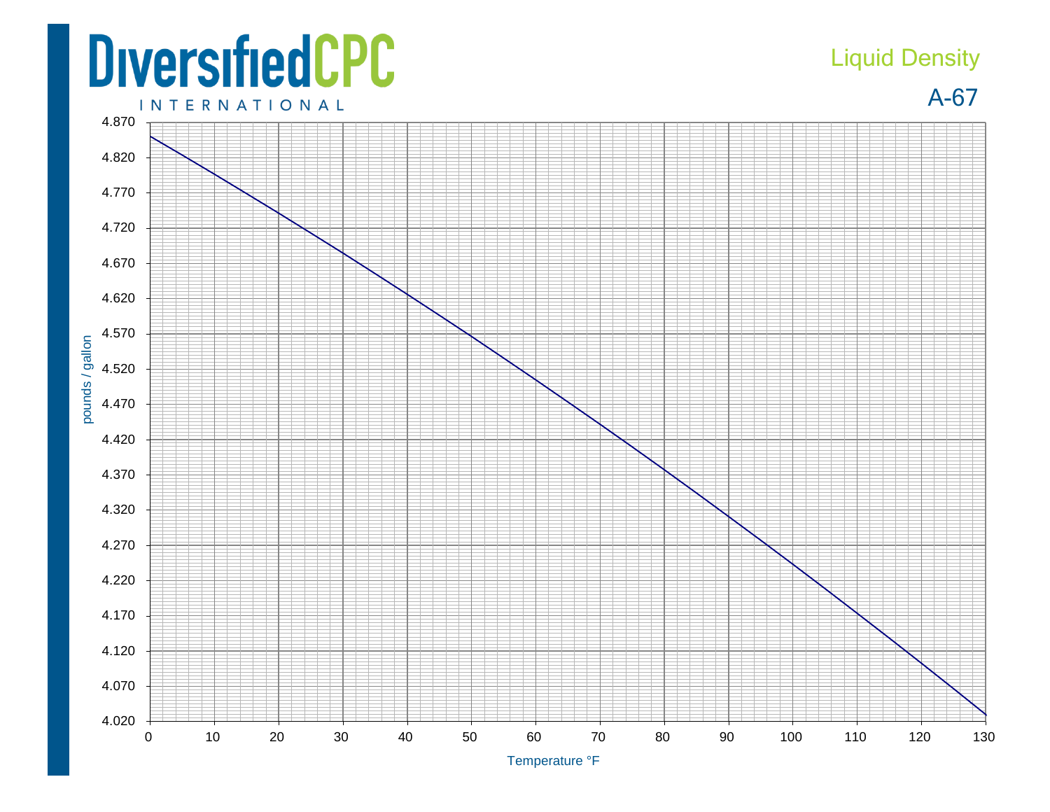## **DiversifiedCPC INTERNATIONAL**

## Liquid Density

A-67